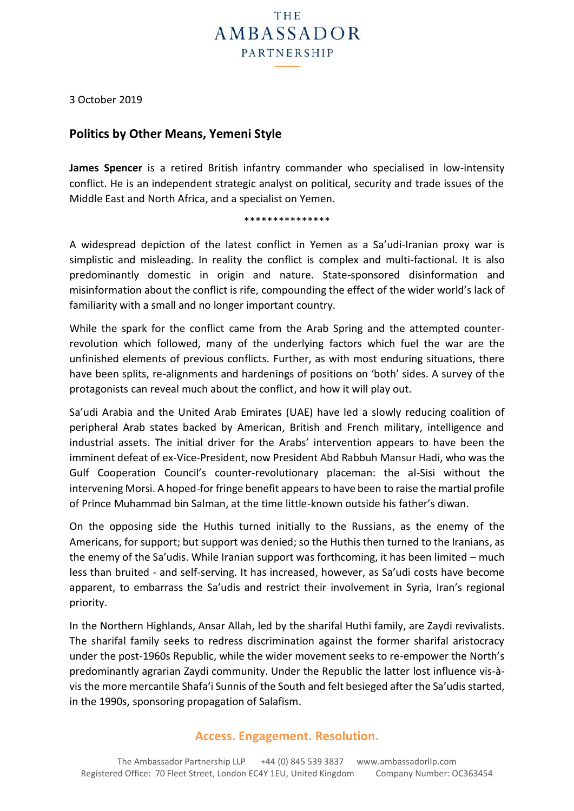

3 October 2019

# **Politics by Other Means, Yemeni Style**

**James Spencer** is a retired British infantry commander who specialised in low-intensity conflict. He is an independent strategic analyst on political, security and trade issues of the Middle East and North Africa, and a specialist on Yemen.

#### \*\*\*\*\*\*\*\*\*\*\*\*\*\*\*

A widespread depiction of the latest conflict in Yemen as a Sa'udi-Iranian proxy war is simplistic and misleading. In reality the conflict is complex and multi-factional. It is also predominantly domestic in origin and nature. State-sponsored disinformation and misinformation about the conflict is rife, compounding the effect of the wider world's lack of familiarity with a small and no longer important country.

While the spark for the conflict came from the Arab Spring and the attempted counterrevolution which followed, many of the underlying factors which fuel the war are the unfinished elements of previous conflicts. Further, as with most enduring situations, there have been splits, re-alignments and hardenings of positions on 'both' sides. A survey of the protagonists can reveal much about the conflict, and how it will play out.

Sa'udi Arabia and the United Arab Emirates (UAE) have led a slowly reducing coalition of peripheral Arab states backed by American, British and French military, intelligence and industrial assets. The initial driver for the Arabs' intervention appears to have been the imminent defeat of ex-Vice-President, now President Abd Rabbuh Mansur Hadi, who was the Gulf Cooperation Council's counter-revolutionary placeman: the al-Sisi without the intervening Morsi. A hoped-for fringe benefit appears to have been to raise the martial profile of Prince Muhammad bin Salman, at the time little-known outside his father's diwan.

On the opposing side the Huthis turned initially to the Russians, as the enemy of the Americans, for support; but support was denied; so the Huthis then turned to the Iranians, as the enemy of the Sa'udis. While Iranian support was forthcoming, it has been limited – much less than bruited - and self-serving. It has increased, however, as Sa'udi costs have become apparent, to embarrass the Sa'udis and restrict their involvement in Syria, Iran's regional priority.

In the Northern Highlands, Ansar Allah, led by the sharifal Huthi family, are Zaydi revivalists. The sharifal family seeks to redress discrimination against the former sharifal aristocracy under the post-1960s Republic, while the wider movement seeks to re-empower the North's predominantly agrarian Zaydi community. Under the Republic the latter lost influence vis-àvis the more mercantile Shafa'i Sunnis of the South and felt besieged after the Sa'udis started, in the 1990s, sponsoring propagation of Salafism.

## **Access. Engagement. Resolution.**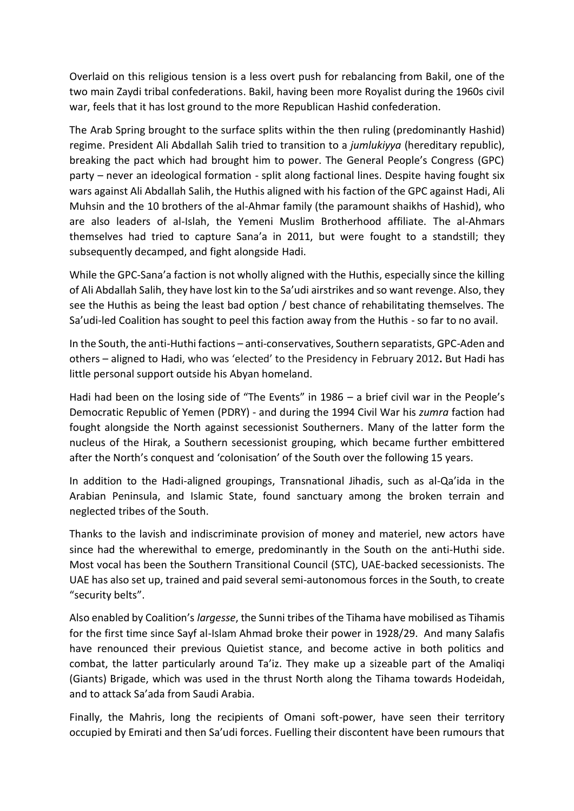Overlaid on this religious tension is a less overt push for rebalancing from Bakil, one of the two main Zaydi tribal confederations. Bakil, having been more Royalist during the 1960s civil war, feels that it has lost ground to the more Republican Hashid confederation.

The Arab Spring brought to the surface splits within the then ruling (predominantly Hashid) regime. President Ali Abdallah Salih tried to transition to a *jumlukiyya* (hereditary republic), breaking the pact which had brought him to power. The General People's Congress (GPC) party – never an ideological formation - split along factional lines. Despite having fought six wars against Ali Abdallah Salih, the Huthis aligned with his faction of the GPC against Hadi, Ali Muhsin and the 10 brothers of the al-Ahmar family (the paramount shaikhs of Hashid), who are also leaders of al-Islah, the Yemeni Muslim Brotherhood affiliate. The al-Ahmars themselves had tried to capture Sana'a in 2011, but were fought to a standstill; they subsequently decamped, and fight alongside Hadi.

While the GPC-Sana'a faction is not wholly aligned with the Huthis, especially since the killing of Ali Abdallah Salih, they have lost kin to the Sa'udi airstrikes and so want revenge. Also, they see the Huthis as being the least bad option / best chance of rehabilitating themselves. The Sa'udi-led Coalition has sought to peel this faction away from the Huthis - so far to no avail.

In the South, the anti-Huthi factions – anti-conservatives, Southern separatists, GPC-Aden and others – aligned to Hadi, who was 'elected' to the Presidency in February 2012**.** But Hadi has little personal support outside his Abyan homeland.

Hadi had been on the losing side of "The Events" in 1986 – a brief civil war in the People's Democratic Republic of Yemen (PDRY) - and during the 1994 Civil War his *zumra* faction had fought alongside the North against secessionist Southerners. Many of the latter form the nucleus of the Hirak, a Southern secessionist grouping, which became further embittered after the North's conquest and 'colonisation' of the South over the following 15 years.

In addition to the Hadi-aligned groupings, Transnational Jihadis, such as al-Qa'ida in the Arabian Peninsula, and Islamic State, found sanctuary among the broken terrain and neglected tribes of the South.

Thanks to the lavish and indiscriminate provision of money and materiel, new actors have since had the wherewithal to emerge, predominantly in the South on the anti-Huthi side. Most vocal has been the Southern Transitional Council (STC), UAE-backed secessionists. The UAE has also set up, trained and paid several semi-autonomous forces in the South, to create "security belts".

Also enabled by Coalition's *largesse*, the Sunni tribes of the Tihama have mobilised as Tihamis for the first time since Sayf al-Islam Ahmad broke their power in 1928/29. And many Salafis have renounced their previous Quietist stance, and become active in both politics and combat, the latter particularly around Ta'iz. They make up a sizeable part of the Amaliqi (Giants) Brigade, which was used in the thrust North along the Tihama towards Hodeidah, and to attack Sa'ada from Saudi Arabia.

Finally, the Mahris, long the recipients of Omani soft-power, have seen their territory occupied by Emirati and then Sa'udi forces. Fuelling their discontent have been rumours that